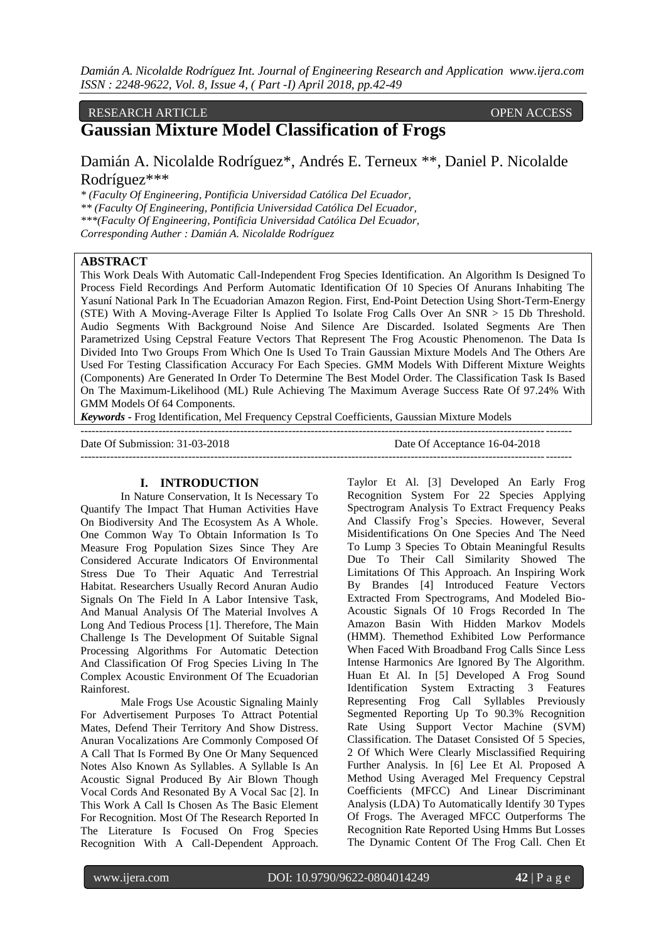### RESEARCH ARTICLE **ARTICLE** And the contract of the contract of the contract of the contract of the contract of the contract of the contract of the contract of the contract of the contract of the contract of the contract of

# **Gaussian Mixture Model Classification of Frogs**

Damián A. Nicolalde Rodríguez\*, Andrés E. Terneux \*\*, Daniel P. Nicolalde Rodríguez\*\*\*

*\* (Faculty Of Engineering, Pontificia Universidad Católica Del Ecuador, \*\* (Faculty Of Engineering, Pontificia Universidad Católica Del Ecuador, \*\*\*(Faculty Of Engineering, Pontificia Universidad Católica Del Ecuador, Corresponding Auther : Damián A. Nicolalde Rodríguez*

# **ABSTRACT**

This Work Deals With Automatic Call-Independent Frog Species Identification. An Algorithm Is Designed To Process Field Recordings And Perform Automatic Identification Of 10 Species Of Anurans Inhabiting The Yasuní National Park In The Ecuadorian Amazon Region. First, End-Point Detection Using Short-Term-Energy (STE) With A Moving-Average Filter Is Applied To Isolate Frog Calls Over An SNR > 15 Db Threshold. Audio Segments With Background Noise And Silence Are Discarded. Isolated Segments Are Then Parametrized Using Cepstral Feature Vectors That Represent The Frog Acoustic Phenomenon. The Data Is Divided Into Two Groups From Which One Is Used To Train Gaussian Mixture Models And The Others Are Used For Testing Classification Accuracy For Each Species. GMM Models With Different Mixture Weights (Components) Are Generated In Order To Determine The Best Model Order. The Classification Task Is Based On The Maximum-Likelihood (ML) Rule Achieving The Maximum Average Success Rate Of 97.24% With GMM Models Of 64 Components.

*Keywords* **-** Frog Identification, Mel Frequency Cepstral Coefficients, Gaussian Mixture Models

| Date Of Submission: 31-03-2018 | Date Of Acceptance 16-04-2018 |
|--------------------------------|-------------------------------|
|                                |                               |

# **I. INTRODUCTION**

In Nature Conservation, It Is Necessary To Quantify The Impact That Human Activities Have On Biodiversity And The Ecosystem As A Whole. One Common Way To Obtain Information Is To Measure Frog Population Sizes Since They Are Considered Accurate Indicators Of Environmental Stress Due To Their Aquatic And Terrestrial Habitat. Researchers Usually Record Anuran Audio Signals On The Field In A Labor Intensive Task, And Manual Analysis Of The Material Involves A Long And Tedious Process [1]. Therefore, The Main Challenge Is The Development Of Suitable Signal Processing Algorithms For Automatic Detection And Classification Of Frog Species Living In The Complex Acoustic Environment Of The Ecuadorian Rainforest.

Male Frogs Use Acoustic Signaling Mainly For Advertisement Purposes To Attract Potential Mates, Defend Their Territory And Show Distress. Anuran Vocalizations Are Commonly Composed Of A Call That Is Formed By One Or Many Sequenced Notes Also Known As Syllables. A Syllable Is An Acoustic Signal Produced By Air Blown Though Vocal Cords And Resonated By A Vocal Sac [2]. In This Work A Call Is Chosen As The Basic Element For Recognition. Most Of The Research Reported In The Literature Is Focused On Frog Species Recognition With A Call-Dependent Approach.

Taylor Et Al. [3] Developed An Early Frog Recognition System For 22 Species Applying Spectrogram Analysis To Extract Frequency Peaks And Classify Frog's Species. However, Several Misidentifications On One Species And The Need To Lump 3 Species To Obtain Meaningful Results Due To Their Call Similarity Showed The Limitations Of This Approach. An Inspiring Work By Brandes [4] Introduced Feature Vectors Extracted From Spectrograms, And Modeled Bio-Acoustic Signals Of 10 Frogs Recorded In The Amazon Basin With Hidden Markov Models (HMM). Themethod Exhibited Low Performance When Faced With Broadband Frog Calls Since Less Intense Harmonics Are Ignored By The Algorithm. Huan Et Al. In [5] Developed A Frog Sound Identification System Extracting 3 Features Representing Frog Call Syllables Previously Segmented Reporting Up To 90.3% Recognition Rate Using Support Vector Machine (SVM) Classification. The Dataset Consisted Of 5 Species, 2 Of Which Were Clearly Misclassified Requiring Further Analysis. In [6] Lee Et Al. Proposed A Method Using Averaged Mel Frequency Cepstral Coefficients (MFCC) And Linear Discriminant Analysis (LDA) To Automatically Identify 30 Types Of Frogs. The Averaged MFCC Outperforms The Recognition Rate Reported Using Hmms But Losses The Dynamic Content Of The Frog Call. Chen Et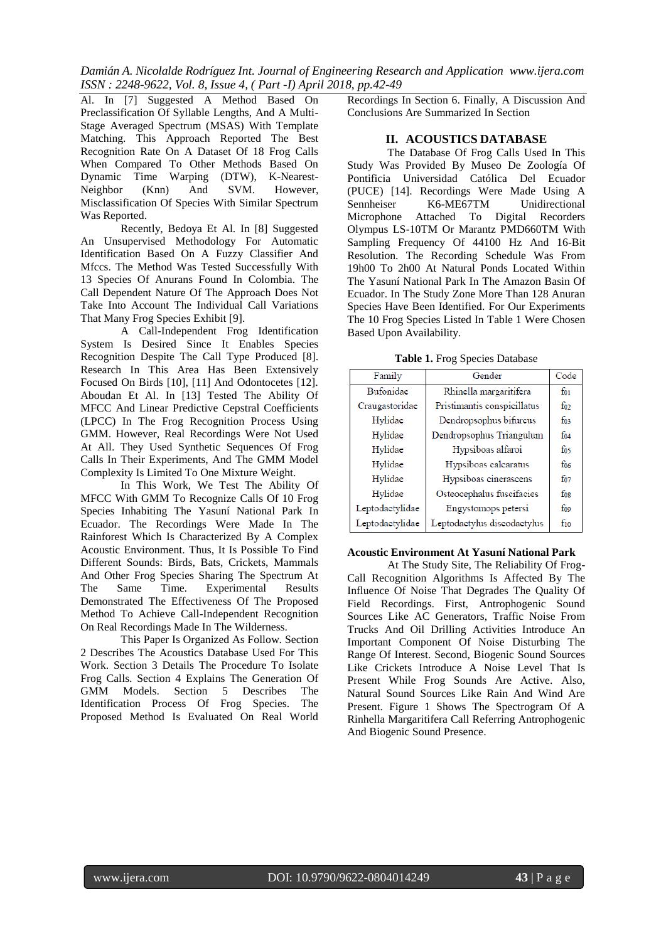Al. In [7] Suggested A Method Based On Preclassification Of Syllable Lengths, And A Multi-Stage Averaged Spectrum (MSAS) With Template Matching. This Approach Reported The Best Recognition Rate On A Dataset Of 18 Frog Calls When Compared To Other Methods Based On Dynamic Time Warping (DTW), K-Nearest-<br>Neighbor (Knn) And SVM. However, (Knn) And SVM. However, Misclassification Of Species With Similar Spectrum Was Reported.

Recently, Bedoya Et Al. In [8] Suggested An Unsupervised Methodology For Automatic Identification Based On A Fuzzy Classifier And Mfccs. The Method Was Tested Successfully With 13 Species Of Anurans Found In Colombia. The Call Dependent Nature Of The Approach Does Not Take Into Account The Individual Call Variations That Many Frog Species Exhibit [9].

A Call-Independent Frog Identification System Is Desired Since It Enables Species Recognition Despite The Call Type Produced [8]. Research In This Area Has Been Extensively Focused On Birds [10], [11] And Odontocetes [12]. Aboudan Et Al. In [13] Tested The Ability Of MFCC And Linear Predictive Cepstral Coefficients (LPCC) In The Frog Recognition Process Using GMM. However, Real Recordings Were Not Used At All. They Used Synthetic Sequences Of Frog Calls In Their Experiments, And The GMM Model Complexity Is Limited To One Mixture Weight.

In This Work, We Test The Ability Of MFCC With GMM To Recognize Calls Of 10 Frog Species Inhabiting The Yasuní National Park In Ecuador. The Recordings Were Made In The Rainforest Which Is Characterized By A Complex Acoustic Environment. Thus, It Is Possible To Find Different Sounds: Birds, Bats, Crickets, Mammals And Other Frog Species Sharing The Spectrum At The Same Time. Experimental Results Demonstrated The Effectiveness Of The Proposed Method To Achieve Call-Independent Recognition On Real Recordings Made In The Wilderness.

This Paper Is Organized As Follow. Section 2 Describes The Acoustics Database Used For This Work. Section 3 Details The Procedure To Isolate Frog Calls. Section 4 Explains The Generation Of GMM Models. Section 5 Describes The GMM Models. Section 5 Describes Identification Process Of Frog Species. The Proposed Method Is Evaluated On Real World

Recordings In Section 6. Finally, A Discussion And Conclusions Are Summarized In Section

# **II. ACOUSTICS DATABASE**

The Database Of Frog Calls Used In This Study Was Provided By Museo De Zoología Of Pontificia Universidad Católica Del Ecuador (PUCE) [14]. Recordings Were Made Using A<br>Sennheiser K6-ME67TM Unidirectional Sennheiser K6-ME67TM Unidirectional Microphone Attached To Digital Recorders Olympus LS-10TM Or Marantz PMD660TM With Sampling Frequency Of 44100 Hz And 16-Bit Resolution. The Recording Schedule Was From 19h00 To 2h00 At Natural Ponds Located Within The Yasuní National Park In The Amazon Basin Of Ecuador. In The Study Zone More Than 128 Anuran Species Have Been Identified. For Our Experiments The 10 Frog Species Listed In Table 1 Were Chosen Based Upon Availability.

**Table 1.** Frog Species Database

| Family          | Gender                      | Code     |
|-----------------|-----------------------------|----------|
| Bufonidae       | Rhinella margaritifera      | $f_{01}$ |
| Craugastoridae  | Pristimantis conspicillatus | $f_{02}$ |
| Hylidae         | Dendropsophus bifurcus      | $f_{03}$ |
| Hylidae         | Dendropsophus Triangulum    | $f_{04}$ |
| Hylidae         | Hypsiboas alfaroi           | fos      |
| Hylidae         | Hypsiboas calcaratus        | $f_{06}$ |
| Hylidae         | Hypsiboas cinerascens       | $f_{07}$ |
| Hylidae         | Osteocephalus fuscifacies   | $f_{08}$ |
| Leptodactylidae | Engystomops petersi         | $f_{09}$ |
| Leptodactylidae | Leptodactylus discodactylus | $f_{10}$ |

## **Acoustic Environment At Yasuní National Park**

At The Study Site, The Reliability Of Frog-Call Recognition Algorithms Is Affected By The Influence Of Noise That Degrades The Quality Of Field Recordings. First, Antrophogenic Sound Sources Like AC Generators, Traffic Noise From Trucks And Oil Drilling Activities Introduce An Important Component Of Noise Disturbing The Range Of Interest. Second, Biogenic Sound Sources Like Crickets Introduce A Noise Level That Is Present While Frog Sounds Are Active. Also, Natural Sound Sources Like Rain And Wind Are Present. Figure 1 Shows The Spectrogram Of A Rinhella Margaritifera Call Referring Antrophogenic And Biogenic Sound Presence.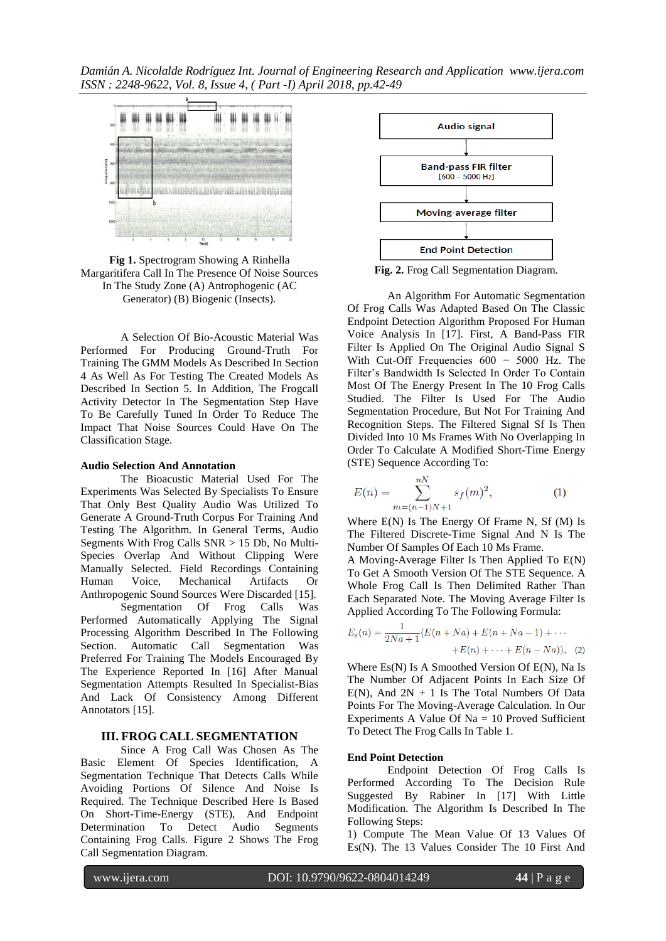

**Fig 1.** Spectrogram Showing A Rinhella Margaritifera Call In The Presence Of Noise Sources In The Study Zone (A) Antrophogenic (AC Generator) (B) Biogenic (Insects).

A Selection Of Bio-Acoustic Material Was Performed For Producing Ground-Truth For Training The GMM Models As Described In Section 4 As Well As For Testing The Created Models As Described In Section 5. In Addition, The Frogcall Activity Detector In The Segmentation Step Have To Be Carefully Tuned In Order To Reduce The Impact That Noise Sources Could Have On The Classification Stage.

#### **Audio Selection And Annotation**

The Bioacustic Material Used For The Experiments Was Selected By Specialists To Ensure That Only Best Quality Audio Was Utilized To Generate A Ground-Truth Corpus For Training And Testing The Algorithm. In General Terms, Audio Segments With Frog Calls SNR > 15 Db, No Multi-Species Overlap And Without Clipping Were Manually Selected. Field Recordings Containing<br>Human Voice. Mechanical Artifacts Or Mechanical Artifacts Or Anthropogenic Sound Sources Were Discarded [15]. Segmentation Of Frog Calls Was Performed Automatically Applying The Signal Processing Algorithm Described In The Following Section. Automatic Call Segmentation Was Preferred For Training The Models Encouraged By The Experience Reported In [16] After Manual Segmentation Attempts Resulted In Specialist-Bias And Lack Of Consistency Among Different Annotators [15].

### **III. FROG CALL SEGMENTATION**

Since A Frog Call Was Chosen As The Basic Element Of Species Identification, A Segmentation Technique That Detects Calls While Avoiding Portions Of Silence And Noise Is Required. The Technique Described Here Is Based On Short-Time-Energy (STE), And Endpoint Determination To Detect Audio Segments Containing Frog Calls. Figure 2 Shows The Frog Call Segmentation Diagram.



**Fig. 2.** Frog Call Segmentation Diagram.

An Algorithm For Automatic Segmentation Of Frog Calls Was Adapted Based On The Classic Endpoint Detection Algorithm Proposed For Human Voice Analysis In [17]. First, A Band-Pass FIR Filter Is Applied On The Original Audio Signal S With Cut-Off Frequencies 600 − 5000 Hz. The Filter's Bandwidth Is Selected In Order To Contain Most Of The Energy Present In The 10 Frog Calls Studied. The Filter Is Used For The Audio Segmentation Procedure, But Not For Training And Recognition Steps. The Filtered Signal Sf Is Then Divided Into 10 Ms Frames With No Overlapping In Order To Calculate A Modified Short-Time Energy (STE) Sequence According To:

$$
E(n) = \sum_{m=(n-1)N+1}^{nN} s_f(m)^2,
$$
 (1)

Where E(N) Is The Energy Of Frame N, Sf (M) Is The Filtered Discrete-Time Signal And N Is The Number Of Samples Of Each 10 Ms Frame.

A Moving-Average Filter Is Then Applied To E(N) To Get A Smooth Version Of The STE Sequence. A Whole Frog Call Is Then Delimited Rather Than Each Separated Note. The Moving Average Filter Is Applied According To The Following Formula:

$$
E_s(n) = \frac{1}{2Na+1}(E(n+Na) + E(n+Na-1) + \cdots + E(n-Na)), \quad (2)
$$

Where Es(N) Is A Smoothed Version Of E(N), Na Is The Number Of Adjacent Points In Each Size Of  $E(N)$ , And  $2N + 1$  Is The Total Numbers Of Data Points For The Moving-Average Calculation. In Our Experiments A Value Of  $Na = 10$  Proved Sufficient To Detect The Frog Calls In Table 1.

### **End Point Detection**

Endpoint Detection Of Frog Calls Is Performed According To The Decision Rule Suggested By Rabiner In [17] With Little Modification. The Algorithm Is Described In The Following Steps:

1) Compute The Mean Value Of 13 Values Of Es(N). The 13 Values Consider The 10 First And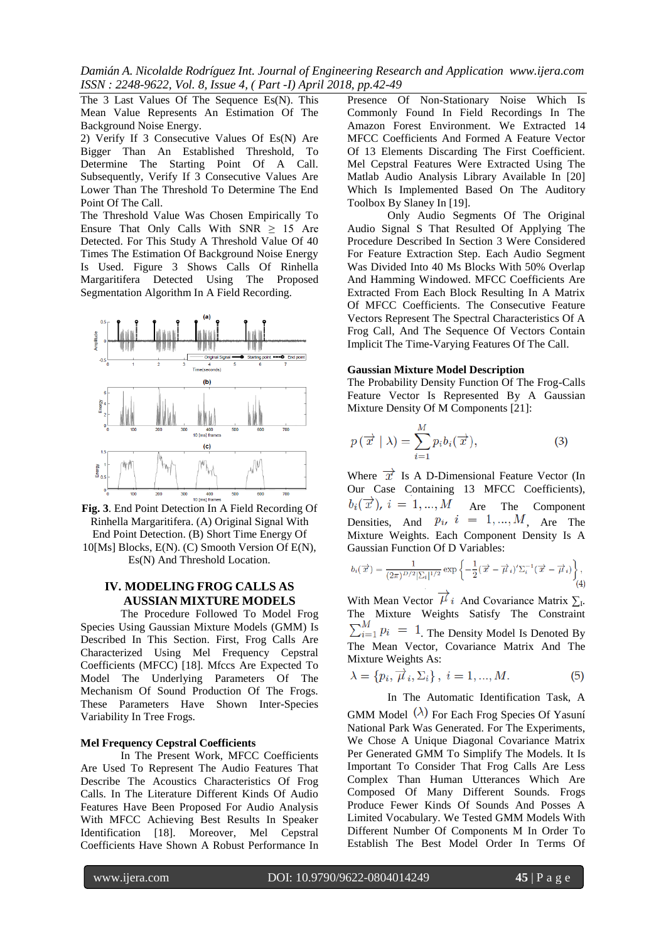*Damián A. Nicolalde Rodríguez Int. Journal of Engineering Research and Application www.ijera.com ISSN : 2248-9622, Vol. 8, Issue 4, ( Part -I) April 2018, pp.42-49*

The 3 Last Values Of The Sequence Es(N). This Mean Value Represents An Estimation Of The Background Noise Energy.

2) Verify If 3 Consecutive Values Of Es(N) Are Bigger Than An Established Threshold, To Determine The Starting Point Of A Call. Subsequently, Verify If 3 Consecutive Values Are Lower Than The Threshold To Determine The End Point Of The Call.

The Threshold Value Was Chosen Empirically To Ensure That Only Calls With  $SNR \geq 15$  Are Detected. For This Study A Threshold Value Of 40 Times The Estimation Of Background Noise Energy Is Used. Figure 3 Shows Calls Of Rinhella Margaritifera Detected Using The Proposed Segmentation Algorithm In A Field Recording.



**Fig. 3**. End Point Detection In A Field Recording Of Rinhella Margaritifera. (A) Original Signal With End Point Detection. (B) Short Time Energy Of 10[Ms] Blocks, E(N). (C) Smooth Version Of E(N), Es(N) And Threshold Location.

# **IV. MODELING FROG CALLS AS AUSSIAN MIXTURE MODELS**

The Procedure Followed To Model Frog Species Using Gaussian Mixture Models (GMM) Is Described In This Section. First, Frog Calls Are Characterized Using Mel Frequency Cepstral Coefficients (MFCC) [18]. Mfccs Are Expected To Model The Underlying Parameters Of The Mechanism Of Sound Production Of The Frogs. These Parameters Have Shown Inter-Species Variability In Tree Frogs.

### **Mel Frequency Cepstral Coefficients**

In The Present Work, MFCC Coefficients Are Used To Represent The Audio Features That Describe The Acoustics Characteristics Of Frog Calls. In The Literature Different Kinds Of Audio Features Have Been Proposed For Audio Analysis With MFCC Achieving Best Results In Speaker Identification [18]. Moreover, Mel Cepstral Coefficients Have Shown A Robust Performance In Presence Of Non-Stationary Noise Which Is Commonly Found In Field Recordings In The Amazon Forest Environment. We Extracted 14 MFCC Coefficients And Formed A Feature Vector Of 13 Elements Discarding The First Coefficient. Mel Cepstral Features Were Extracted Using The Matlab Audio Analysis Library Available In [20] Which Is Implemented Based On The Auditory Toolbox By Slaney In [19].

Only Audio Segments Of The Original Audio Signal S That Resulted Of Applying The Procedure Described In Section 3 Were Considered For Feature Extraction Step. Each Audio Segment Was Divided Into 40 Ms Blocks With 50% Overlap And Hamming Windowed. MFCC Coefficients Are Extracted From Each Block Resulting In A Matrix Of MFCC Coefficients. The Consecutive Feature Vectors Represent The Spectral Characteristics Of A Frog Call, And The Sequence Of Vectors Contain Implicit The Time-Varying Features Of The Call.

### **Gaussian Mixture Model Description**

The Probability Density Function Of The Frog-Calls Feature Vector Is Represented By A Gaussian Mixture Density Of M Components [21]:

$$
p(\overrightarrow{x} | \lambda) = \sum_{i=1}^{M} p_i b_i(\overrightarrow{x}), \qquad (3)
$$

Where  $\vec{x}$  Is A D-Dimensional Feature Vector (In Our Case Containing 13 MFCC Coefficients),  $b_i(\vec{x})$ ,  $i=1,...,M$ Are The Component Densities, And  $p_i$ ,  $i = 1, ..., M$ , Are The Mixture Weights. Each Component Density Is A Gaussian Function Of D Variables:

$$
b_i(\overrightarrow{x}) = \frac{1}{(2\pi)^{D/2}|\Sigma_i|^{1/2}} \exp\left\{-\frac{1}{2}(\overrightarrow{x} - \overrightarrow{\mu}_i)' \Sigma_i^{-1}(\overrightarrow{x} - \overrightarrow{\mu}_i)\right\},\tag{4}
$$

With Mean Vector  $\mu_i$  And Covariance Matrix  $\Sigma_i$ . The Mixture Weights Satisfy The Constraint  $\sum_{i=1}^{M} p_i = 1$ . The Density Model Is Denoted By The Mean Vector, Covariance Matrix And The Mixture Weights As:

$$
\lambda = \{p_i, \overrightarrow{\mu}_i, \Sigma_i\}, \ i = 1, ..., M. \tag{5}
$$

In The Automatic Identification Task, A GMM Model  $(\lambda)$  For Each Frog Species Of Yasuní National Park Was Generated. For The Experiments, We Chose A Unique Diagonal Covariance Matrix Per Generated GMM To Simplify The Models. It Is Important To Consider That Frog Calls Are Less Complex Than Human Utterances Which Are Composed Of Many Different Sounds. Frogs Produce Fewer Kinds Of Sounds And Posses A Limited Vocabulary. We Tested GMM Models With Different Number Of Components M In Order To Establish The Best Model Order In Terms Of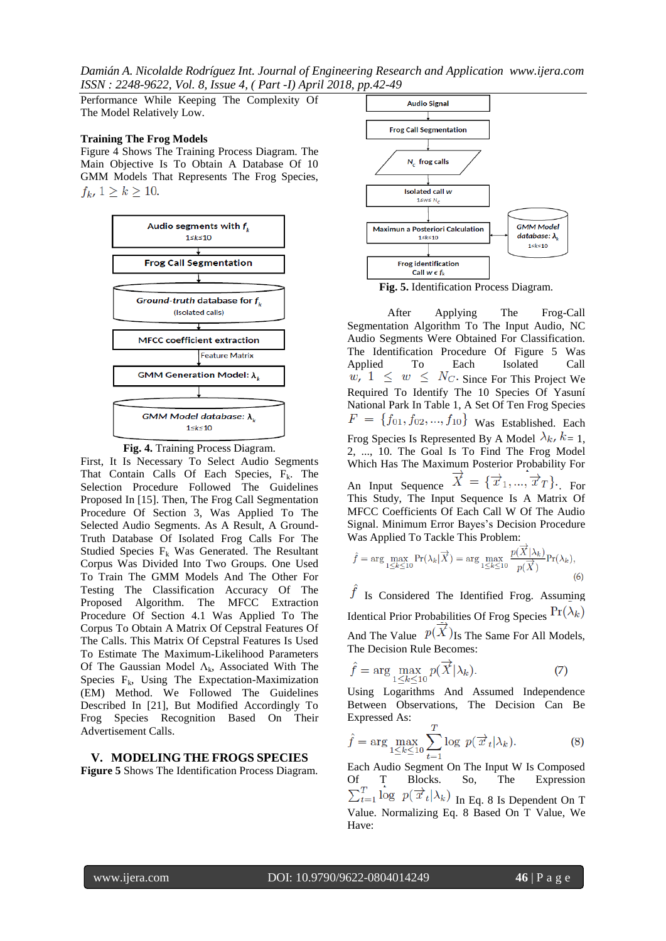*Damián A. Nicolalde Rodríguez Int. Journal of Engineering Research and Application www.ijera.com ISSN : 2248-9622, Vol. 8, Issue 4, ( Part -I) April 2018, pp.42-49*

Performance While Keeping The Complexity Of The Model Relatively Low.

### **Training The Frog Models**

Figure 4 Shows The Training Process Diagram. The Main Objective Is To Obtain A Database Of 10 GMM Models That Represents The Frog Species,  $f_k$ ,  $1 \ge k \ge 10$ .





First, It Is Necessary To Select Audio Segments That Contain Calls Of Each Species,  $F_k$ . The Selection Procedure Followed The Guidelines Proposed In [15]. Then, The Frog Call Segmentation Procedure Of Section 3, Was Applied To The Selected Audio Segments. As A Result, A Ground-Truth Database Of Isolated Frog Calls For The Studied Species  $F_k$  Was Generated. The Resultant Corpus Was Divided Into Two Groups. One Used To Train The GMM Models And The Other For Testing The Classification Accuracy Of The Proposed Algorithm. The MFCC Extraction Procedure Of Section 4.1 Was Applied To The Corpus To Obtain A Matrix Of Cepstral Features Of The Calls. This Matrix Of Cepstral Features Is Used To Estimate The Maximum-Likelihood Parameters Of The Gaussian Model  $\Lambda_k$ , Associated With The Species  $F_k$ , Using The Expectation-Maximization (EM) Method. We Followed The Guidelines Described In [21], But Modified Accordingly To Frog Species Recognition Based On Their Advertisement Calls.

### **V. MODELING THE FROGS SPECIES**

**Figure 5** Shows The Identification Process Diagram.



**Fig. 5.** Identification Process Diagram.

After Applying The Frog-Call Segmentation Algorithm To The Input Audio, NC Audio Segments Were Obtained For Classification. The Identification Procedure Of Figure 5 Was Applied To Each Isolated Call Since For This Project We Required To Identify The 10 Species Of Yasuní National Park In Table 1, A Set Of Ten Frog Species  $F = \{f_{01}, f_{02}, \ldots, f_{10}\}$  Was Established. Each Frog Species Is Represented By A Model  $\lambda_k$ ,  $k = 1$ , 2, ..., 10. The Goal Is To Find The Frog Model Which Has The Maximum Posterior Probability For An Input Sequence  $\overrightarrow{X} = {\overrightarrow{x}_1, ..., \overrightarrow{x}_T}.$  For This Study, The Input Sequence Is A Matrix Of MFCC Coefficients Of Each Call W Of The Audio Signal. Minimum Error Bayes's Decision Procedure Was Applied To Tackle This Problem:

$$
\hat{f} = \arg\max_{1 \le k \le 10} \Pr(\lambda_k | \overrightarrow{X}) = \arg\max_{1 \le k \le 10} \frac{p(X | \lambda_k)}{p(\overrightarrow{X})} \Pr(\lambda_k),
$$
\n(6)

 $\hat{J}$  Is Considered The Identified Frog. Assuming Identical Prior Probabilities Of Frog Species $\Pr(\lambda_k)$ And The Value  $p(X)$  Is The Same For All Models, The Decision Rule Becomes:

$$
\hat{f} = \arg\max_{1 \le k \le 10} p(\overrightarrow{X} | \lambda_k). \tag{7}
$$

Using Logarithms And Assumed Independence Between Observations, The Decision Can Be Expressed As:

$$
\hat{f} = \arg \max_{1 \le k \le 10} \sum_{t=1}^{T} \log p(\overrightarrow{x}_t | \lambda_k).
$$
 (8)

Each Audio Segment On The Input W Is Composed Of T Blocks. So, The Expression In Eq. 8 Is Dependent On T Value. Normalizing Eq. 8 Based On T Value, We Have: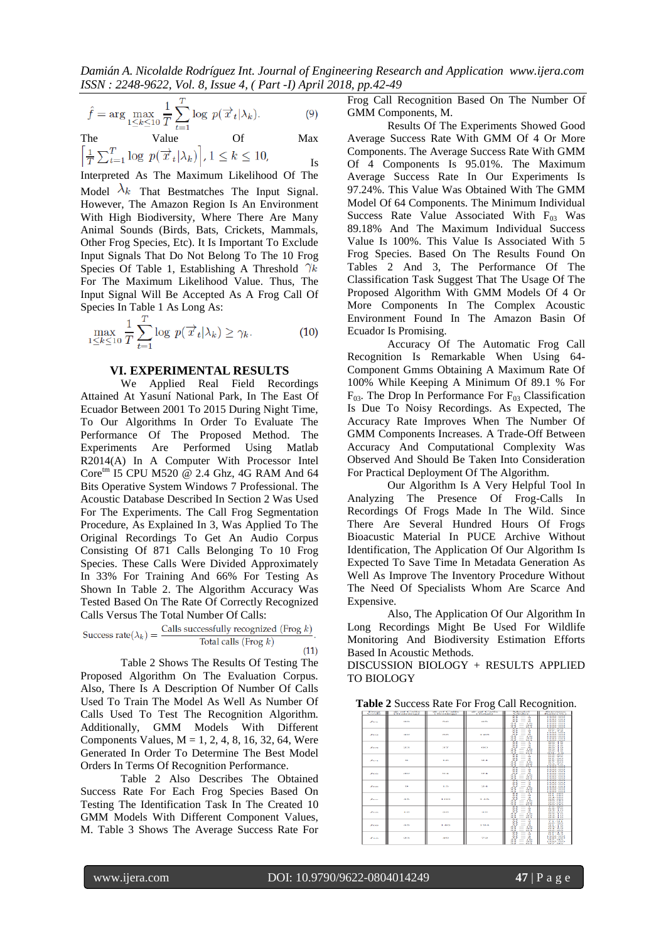$$
\hat{f} = \arg\max_{1 \le k \le 10} \frac{1}{T} \sum_{t=1}^{T} \log p(\overrightarrow{x}_t | \lambda_k).
$$
 (9)

The Value Of Max 
$$
\left[\frac{1}{T}\sum_{t=1}^{T}\log p(\overrightarrow{x}_t|\lambda_k)\right], 1 \leq k \leq 10,
$$
 Is

Interpreted As The Maximum Likelihood Of The Model  $\lambda_k$  That Bestmatches The Input Signal. However, The Amazon Region Is An Environment With High Biodiversity, Where There Are Many Animal Sounds (Birds, Bats, Crickets, Mammals, Other Frog Species, Etc). It Is Important To Exclude Input Signals That Do Not Belong To The 10 Frog Species Of Table 1, Establishing A Threshold  $\gamma_k$ For The Maximum Likelihood Value. Thus, The Input Signal Will Be Accepted As A Frog Call Of Species In Table 1 As Long As:

$$
\max_{1 \le k \le 10} \frac{1}{T} \sum_{t=1}^{T} \log \ p(\overrightarrow{x}_t | \lambda_k) \ge \gamma_k. \tag{10}
$$

### **VI. EXPERIMENTAL RESULTS**

We Applied Real Field Recordings Attained At Yasuní National Park, In The East Of Ecuador Between 2001 To 2015 During Night Time, To Our Algorithms In Order To Evaluate The Performance Of The Proposed Method. The Experiments Are Performed Using Matlab R2014(A) In A Computer With Processor Intel Core<sup>tm</sup> I5 CPU M520 @ 2.4 Ghz, 4G RAM And 64 Bits Operative System Windows 7 Professional. The Acoustic Database Described In Section 2 Was Used For The Experiments. The Call Frog Segmentation Procedure, As Explained In 3, Was Applied To The Original Recordings To Get An Audio Corpus Consisting Of 871 Calls Belonging To 10 Frog Species. These Calls Were Divided Approximately In 33% For Training And 66% For Testing As Shown In Table 2. The Algorithm Accuracy Was Tested Based On The Rate Of Correctly Recognized Calls Versus The Total Number Of Calls:

$$
\text{Success rate}(\lambda_k) = \frac{\text{Calls successfully recognized (Frog } k)}{\text{Total calls (Frog } k)}.\tag{11}
$$

Table 2 Shows The Results Of Testing The Proposed Algorithm On The Evaluation Corpus. Also, There Is A Description Of Number Of Calls Used To Train The Model As Well As Number Of Calls Used To Test The Recognition Algorithm. Additionally, GMM Models With Different Components Values, M = 1, 2, 4, 8, 16, 32, 64, Were Generated In Order To Determine The Best Model Orders In Terms Of Recognition Performance.

Table 2 Also Describes The Obtained Success Rate For Each Frog Species Based On Testing The Identification Task In The Created 10 GMM Models With Different Component Values, M. Table 3 Shows The Average Success Rate For

Frog Call Recognition Based On The Number Of GMM Components, M.

Results Of The Experiments Showed Good Average Success Rate With GMM Of 4 Or More Components. The Average Success Rate With GMM Of 4 Components Is 95.01%. The Maximum Average Success Rate In Our Experiments Is 97.24%. This Value Was Obtained With The GMM Model Of 64 Components. The Minimum Individual Success Rate Value Associated With  $F_{03}$  Was 89.18% And The Maximum Individual Success Value Is 100%. This Value Is Associated With 5 Frog Species. Based On The Results Found On Tables 2 And 3, The Performance Of The Classification Task Suggest That The Usage Of The Proposed Algorithm With GMM Models Of 4 Or More Components In The Complex Acoustic Environment Found In The Amazon Basin Of Ecuador Is Promising.

Accuracy Of The Automatic Frog Call Recognition Is Remarkable When Using 64- Component Gmms Obtaining A Maximum Rate Of 100% While Keeping A Minimum Of 89.1 % For  $F_{03}$ . The Drop In Performance For  $F_{03}$  Classification Is Due To Noisy Recordings. As Expected, The Accuracy Rate Improves When The Number Of GMM Components Increases. A Trade-Off Between Accuracy And Computational Complexity Was Observed And Should Be Taken Into Consideration For Practical Deployment Of The Algorithm.

Our Algorithm Is A Very Helpful Tool In Analyzing The Presence Of Frog-Calls In Recordings Of Frogs Made In The Wild. Since There Are Several Hundred Hours Of Frogs Bioacustic Material In PUCE Archive Without Identification, The Application Of Our Algorithm Is Expected To Save Time In Metadata Generation As Well As Improve The Inventory Procedure Without The Need Of Specialists Whom Are Scarce And Expensive.

Also, The Application Of Our Algorithm In Long Recordings Might Be Used For Wildlife Monitoring And Biodiversity Estimation Efforts Based In Acoustic Methods.

DISCUSSION BIOLOGY + RESULTS APPLIED TO BIOLOGY

| Table 2 Success Rate For Frog Call Recognition. |  |  |  |
|-------------------------------------------------|--|--|--|
|-------------------------------------------------|--|--|--|

| <b>Ettera</b>    | ext Costin<br><b>CEYMENTINGS</b> | <b>SALES CONTINENT</b><br><b>C'Ennetteres)</b> | $#$ of Calls<br><b>CEASTORY</b> | <b>Notice test</b><br><b>Christian</b>                                                                                                                                                                                                                                                                                                                                                                                                                                                                                                                                                                                                                                                                      | <b>PELLET CATALOG</b><br><b>Education CAME</b>                                                                                                                                                                               |
|------------------|----------------------------------|------------------------------------------------|---------------------------------|-------------------------------------------------------------------------------------------------------------------------------------------------------------------------------------------------------------------------------------------------------------------------------------------------------------------------------------------------------------------------------------------------------------------------------------------------------------------------------------------------------------------------------------------------------------------------------------------------------------------------------------------------------------------------------------------------------------|------------------------------------------------------------------------------------------------------------------------------------------------------------------------------------------------------------------------------|
| F(x)             | $\alpha$                         | <b>FAKE</b>                                    | <b>PEDS</b>                     | $\overline{\phantom{a}}$<br>$\sim$<br>÷<br>$\overline{\phantom{a}}$<br>$\sim$<br>$ -$<br>$\sim$<br>$ -$<br>$A - F$<br>$-1$<br>$\sim$<br>$-149$<br>$\sim$<br>$-111$                                                                                                                                                                                                                                                                                                                                                                                                                                                                                                                                          | 1111.111<br><b>A CACAL CACA</b><br>100.00<br>100.00<br>1.003.003<br><b><i><u>EXERCITES</u></i></b><br><b><i><u>A KAKALKAKA</u></i></b>                                                                                       |
| <b>Four</b>      | $-1.03$                          | <b>SHE NAT</b>                                 | 3.5839                          | <b>Security</b><br>$\overline{\phantom{a}}$<br>$\sim$<br>$-1$<br>$\sim$<br>$\overline{\phantom{a}}$<br>-<br>$\sim$<br>$ -$<br>$A \cdot F$<br>$-1.53$<br>$\sim$<br>$-14.54$<br>ö,<br>41.4                                                                                                                                                                                                                                                                                                                                                                                                                                                                                                                    | 1343.7513<br>49-77-1-77-1-8<br><b>LEAST FACE</b><br>100.00<br>1.0303.0303<br>.<br>1,000,000                                                                                                                                  |
| <b>Contract</b>  | 58.08                            | 28.00                                          | eses                            | $\sim$<br>- 20<br>$\sim$<br>$\frac{1}{2} \left( \frac{1}{2} \right) \left( \frac{1}{2} \right) \left( \frac{1}{2} \right) \left( \frac{1}{2} \right)$<br>$\sim$<br>$\sim$<br>$ -$<br>$\sim$<br>$-16$<br>$\sim$<br>$- 24.01$<br>$\sim$<br>$-1$                                                                                                                                                                                                                                                                                                                                                                                                                                                               | <b>MER. 3. M</b><br>659, 1.6<br><b>MES. 1.13</b><br>69.53 - 1.69<br><b>Ave. 6.30 - 10. Ave.</b><br><b>225 AS</b>                                                                                                             |
| $F_{\rm{E1-10}}$ | <b>Auto</b>                      | 3.63                                           | <b>SALE</b>                     | $\infty$<br>т<br>$\sim$<br><b>CA</b><br>$\overline{\phantom{a}}$<br>$\sim$<br>$\frac{1}{2} \left( \frac{1}{2} \right) \left( \frac{1}{2} \right) \left( \frac{1}{2} \right) \left( \frac{1}{2} \right) \left( \frac{1}{2} \right) \left( \frac{1}{2} \right) \left( \frac{1}{2} \right) \left( \frac{1}{2} \right) \left( \frac{1}{2} \right) \left( \frac{1}{2} \right) \left( \frac{1}{2} \right) \left( \frac{1}{2} \right) \left( \frac{1}{2} \right) \left( \frac{1}{2} \right) \left( \frac{1}{2} \right) \left( \frac{1}{2} \right) \left( \frac$<br><b>COL</b><br>$\sim$<br>$\sim$<br><b>Butt</b><br>$-16$<br>$\sim$<br>$\mathcal{N}$<br>$- 2450$<br>ÄŻ.<br>$ -$                                    | CEM . TO<br>$P2T$ , $P2T$<br><b>MY.BO</b><br>$0.97 - 0.03$<br>1924 - 9125<br>100,00                                                                                                                                          |
| <b>Finn</b>      | 24.63                            | $63 - 1$                                       | <b>RIP 44</b>                   | ۰<br>$\sim$<br>$-$<br>×.<br>$-1$<br>$\sim$<br>$  -$<br>$\sim$<br>$-10$<br>$\sim$<br>$-842$<br>$\sim$<br>$ -$                                                                                                                                                                                                                                                                                                                                                                                                                                                                                                                                                                                                | <b><i><u>EXERCISER</u></i></b><br>1.0303.0303<br><b><i><u><i>A</i></u></i> A</b> <sup>2</sup> <b><i>A A</i><sup>2</sup><i>A A</i><sup>2</sup></b><br>1.53535353<br><b><i><u>A CALL CALL</u></i></b><br>100.00<br>1.0303.0303 |
| Feres            | <b>TR</b>                        | 3.73                                           | \$8.40                          | $\overline{\phantom{a}}$<br>$\sim$<br>Suit<br>$\overline{\phantom{a}}$<br>$\sim$<br>$\sim$<br>-<br>$\sim$<br>- -<br>A.Z<br>$-165$<br>$A - F$<br>$- 2450$<br>$\sim$<br><b>CLOS</b><br>$\frac{1}{2}$<br>æ                                                                                                                                                                                                                                                                                                                                                                                                                                                                                                     | . <b>.</b><br><b><i><u>AFRESSER</u></i></b><br><b><i>A R R R R R R R R</i></b><br>1003.003<br>1.5353.5353<br>100.00<br>1                                                                                                     |
| <b>Tory</b>      | -4.4%                            | <b>TELES</b>                                   | $1 - 10$                        | $\sim$<br>$\sim$<br>Suit<br>$\mathbf{A}$<br>$\sim$<br>$-4$<br>$\sim$<br><b>COL</b><br>$\mathcal{L}$<br>$-16$<br>$A - C$<br>$- 145$<br>$\sim$<br>$-1 - 1$<br>-<br>=                                                                                                                                                                                                                                                                                                                                                                                                                                                                                                                                          | 131.111<br><b>SPECIFIED</b><br><b>ER-ALCOHO</b><br>1908. CHO<br>1919.0303<br>$\frac{1}{2}$                                                                                                                                   |
| <b>From</b>      | 10 <sup>2</sup>                  | 58.93                                          | $-0.05$                         | æ<br>$\sim$<br>$\sim$<br>÷<br>$\sim$<br>$-1$<br>$\sim$<br>$ -$<br>$\sim$<br>$-161$<br>$\sim$<br>$- 189$<br>×.<br>$ -$                                                                                                                                                                                                                                                                                                                                                                                                                                                                                                                                                                                       | 69.50 - 97.43<br>1924 - 3.43<br>0.53,0.05<br>4928 - 3.43<br>5323 - 1.63<br><b><i><u>ADDA - A K A</u></i></b>                                                                                                                 |
| 500              | $-1.03$                          | 3, 44, 65,                                     | <b>LOST</b>                     | $\mathbf{x}$<br>÷<br>$\sim$<br>- -<br>$\sim$<br>$-3$<br>$\sim$<br>$\sim$<br>$ -$<br>$\sim$<br>$-10$<br>$\sim$<br>$ -$<br>$\sim$<br>$-111$                                                                                                                                                                                                                                                                                                                                                                                                                                                                                                                                                                   | <b>FLO. CH</b><br><b>WILLIAM</b><br><b>MCL.26CX</b><br>91.78<br><b>KR24 - 3.75</b><br><b>CAVA - Ph SA</b><br><b>ERZS - PEER</b>                                                                                              |
| $F + O$          | 52.7%                            | $-0.52$                                        | 121,536                         | $\mathbf{x}$<br>$\overline{\phantom{a}}$<br>$\sim$<br>$ \circ$<br>$\sim$<br>$\frac{1}{2}$<br>$-1$<br>$\sim$<br><b>PR</b><br>$\frac{1}{2} \left( \frac{1}{2} \right) \left( \frac{1}{2} \right) \left( \frac{1}{2} \right) \left( \frac{1}{2} \right) \left( \frac{1}{2} \right) \left( \frac{1}{2} \right) \left( \frac{1}{2} \right) \left( \frac{1}{2} \right) \left( \frac{1}{2} \right) \left( \frac{1}{2} \right) \left( \frac{1}{2} \right) \left( \frac{1}{2} \right) \left( \frac{1}{2} \right) \left( \frac{1}{2} \right) \left( \frac{1}{2} \right) \left( \frac{1}{2} \right) \left( \frac$<br>$\mathcal{A}$<br>$-$<br>1, 418<br>$\sim$<br>$   -$<br>$\sim$<br>41.14<br>$\overline{\phantom{a}}$ | <b>D.Y.I.</b><br><b>OLL-M29</b><br>100.00<br><b>LESER.CHER</b><br><b>ERTY LERZS</b><br><b><i>BEREZZERA</i></b><br><b>CATT - CATS</b>                                                                                         |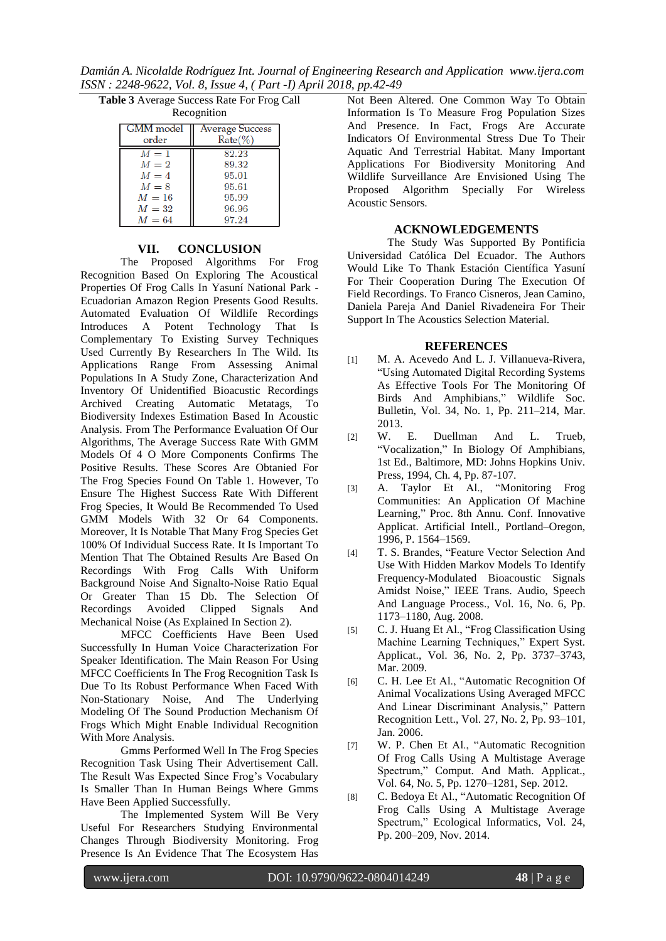*Damián A. Nicolalde Rodríguez Int. Journal of Engineering Research and Application www.ijera.com ISSN : 2248-9622, Vol. 8, Issue 4, ( Part -I) April 2018, pp.42-49*

| Table 3 Average Success Rate For Frog Call |  |
|--------------------------------------------|--|
|--------------------------------------------|--|

| Recognition |
|-------------|
|-------------|

| <b>GMM</b> model | <b>Average Success</b> |
|------------------|------------------------|
| order            | $Rate(\%)$             |
| $M=1$            | 82.23                  |
| $M=2$            | 89.32                  |
| $M=4$            | 95.01                  |
| $M = 8$          | 95.61                  |
| $M=16$           | 95.99                  |
| $M=32$           | 96.96                  |
| $M=64$           | 97.24                  |

## **VII. CONCLUSION**

The Proposed Algorithms For Frog Recognition Based On Exploring The Acoustical Properties Of Frog Calls In Yasuní National Park - Ecuadorian Amazon Region Presents Good Results. Automated Evaluation Of Wildlife Recordings Introduces A Potent Technology That Is Complementary To Existing Survey Techniques Used Currently By Researchers In The Wild. Its Applications Range From Assessing Animal Populations In A Study Zone, Characterization And Inventory Of Unidentified Bioacustic Recordings Archived Creating Automatic Metatags, To Biodiversity Indexes Estimation Based In Acoustic Analysis. From The Performance Evaluation Of Our Algorithms, The Average Success Rate With GMM Models Of 4 O More Components Confirms The Positive Results. These Scores Are Obtanied For The Frog Species Found On Table 1. However, To Ensure The Highest Success Rate With Different Frog Species, It Would Be Recommended To Used GMM Models With 32 Or 64 Components. Moreover, It Is Notable That Many Frog Species Get 100% Of Individual Success Rate. It Is Important To Mention That The Obtained Results Are Based On Recordings With Frog Calls With Uniform Background Noise And Signalto-Noise Ratio Equal Or Greater Than 15 Db. The Selection Of Recordings Avoided Clipped Signals And Mechanical Noise (As Explained In Section 2).

MFCC Coefficients Have Been Used Successfully In Human Voice Characterization For Speaker Identification. The Main Reason For Using MFCC Coefficients In The Frog Recognition Task Is Due To Its Robust Performance When Faced With Non-Stationary Noise, And The Underlying Modeling Of The Sound Production Mechanism Of Frogs Which Might Enable Individual Recognition With More Analysis.

Gmms Performed Well In The Frog Species Recognition Task Using Their Advertisement Call. The Result Was Expected Since Frog's Vocabulary Is Smaller Than In Human Beings Where Gmms Have Been Applied Successfully.

The Implemented System Will Be Very Useful For Researchers Studying Environmental Changes Through Biodiversity Monitoring. Frog Presence Is An Evidence That The Ecosystem Has

Not Been Altered. One Common Way To Obtain Information Is To Measure Frog Population Sizes And Presence. In Fact, Frogs Are Accurate Indicators Of Environmental Stress Due To Their Aquatic And Terrestrial Habitat. Many Important Applications For Biodiversity Monitoring And Wildlife Surveillance Are Envisioned Using The Proposed Algorithm Specially For Wireless Acoustic Sensors.

# **ACKNOWLEDGEMENTS**

The Study Was Supported By Pontificia Universidad Católica Del Ecuador. The Authors Would Like To Thank Estación Científica Yasuní For Their Cooperation During The Execution Of Field Recordings. To Franco Cisneros, Jean Camino, Daniela Pareja And Daniel Rivadeneira For Their Support In The Acoustics Selection Material.

# **REFERENCES**

- [1] M. A. Acevedo And L. J. Villanueva-Rivera, "Using Automated Digital Recording Systems As Effective Tools For The Monitoring Of Birds And Amphibians," Wildlife Soc. Bulletin, Vol. 34, No. 1, Pp. 211–214, Mar. 2013.<br>W.
- [2] W. E. Duellman And L. Trueb, "Vocalization," In Biology Of Amphibians, 1st Ed., Baltimore, MD: Johns Hopkins Univ. Press, 1994, Ch. 4, Pp. 87-107.
- [3] A. Taylor Et Al., "Monitoring Frog Communities: An Application Of Machine Learning," Proc. 8th Annu. Conf. Innovative Applicat. Artificial Intell., Portland–Oregon, 1996, P. 1564–1569.
- [4] T. S. Brandes, "Feature Vector Selection And Use With Hidden Markov Models To Identify Frequency-Modulated Bioacoustic Signals Amidst Noise," IEEE Trans. Audio, Speech And Language Process., Vol. 16, No. 6, Pp. 1173–1180, Aug. 2008.
- [5] C. J. Huang Et Al., "Frog Classification Using Machine Learning Techniques," Expert Syst. Applicat., Vol. 36, No. 2, Pp. 3737–3743, Mar. 2009.
- [6] C. H. Lee Et Al., "Automatic Recognition Of Animal Vocalizations Using Averaged MFCC And Linear Discriminant Analysis," Pattern Recognition Lett., Vol. 27, No. 2, Pp. 93–101, Jan. 2006.
- [7] W. P. Chen Et Al., "Automatic Recognition Of Frog Calls Using A Multistage Average Spectrum," Comput. And Math. Applicat., Vol. 64, No. 5, Pp. 1270–1281, Sep. 2012.
- [8] C. Bedoya Et Al., "Automatic Recognition Of Frog Calls Using A Multistage Average Spectrum," Ecological Informatics, Vol. 24, Pp. 200–209, Nov. 2014.